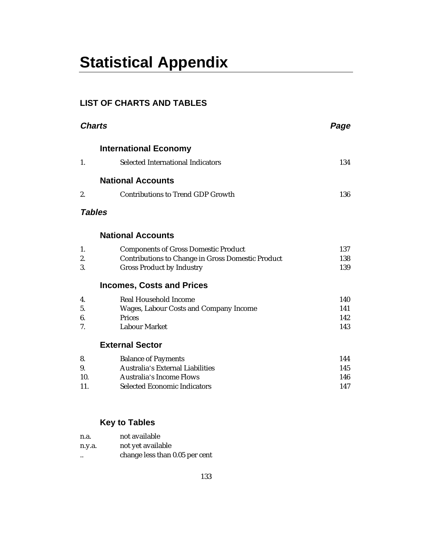# **Statistical Appendix**

## **LIST OF CHARTS AND TABLES**

| <b>Charts</b> |                                                          | Page |
|---------------|----------------------------------------------------------|------|
|               | <b>International Economy</b>                             |      |
| 1.            | <b>Selected International Indicators</b>                 | 134  |
|               | <b>National Accounts</b>                                 |      |
| 2.            | <b>Contributions to Trend GDP Growth</b>                 | 136  |
| <b>Tables</b> |                                                          |      |
|               | <b>National Accounts</b>                                 |      |
| 1.            | <b>Components of Gross Domestic Product</b>              | 137  |
| 2.            | <b>Contributions to Change in Gross Domestic Product</b> | 138  |
| 3.            | <b>Gross Product by Industry</b>                         | 139  |
|               | <b>Incomes, Costs and Prices</b>                         |      |
| 4.            | <b>Real Household Income</b>                             | 140  |
| 5.            | Wages, Labour Costs and Company Income                   | 141  |
| 6.            | <b>Prices</b>                                            | 142  |
| 7.            | <b>Labour Market</b>                                     | 143  |
|               | <b>External Sector</b>                                   |      |
| 8.            | <b>Balance of Payments</b>                               | 144  |
| 9.            | Australia's External Liabilities                         | 145  |
| 10.           | <b>Australia's Income Flows</b>                          | 146  |
| 11.           | <b>Selected Economic Indicators</b>                      | 147  |
|               |                                                          |      |
|               | <b>Key to Tables</b>                                     |      |

| n.a.                 | not available                  |
|----------------------|--------------------------------|
| n.y.a.               | not yet available              |
| $\ddot{\phantom{0}}$ | change less than 0.05 per cent |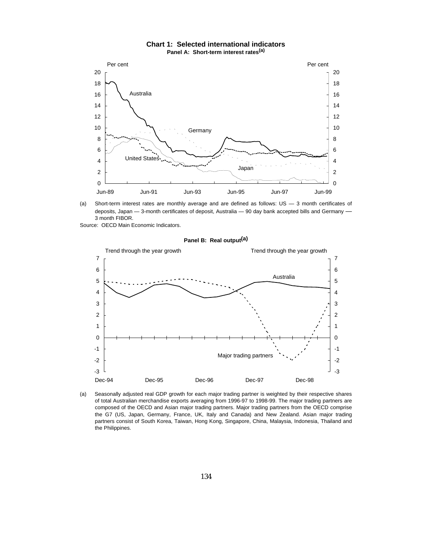

**Chart 1: Selected international indicators Panel A: Short-term interest rates(a)**

(a) Short-term interest rates are monthly average and are defined as follows: US — 3 month certificates of deposits, Japan - 3-month certificates of deposit, Australia - 90 day bank accepted bills and Germany -3 month FIBOR.

Source: OECD Main Economic Indicators.



**Panel B: Real output(a)**

(a) Seasonally adjusted real GDP growth for each major trading partner is weighted by their respective shares of total Australian merchandise exports averaging from 1996-97 to 1998-99. The major trading partners are composed of the OECD and Asian major trading partners. Major trading partners from the OECD comprise the G7 (US, Japan, Germany, France, UK, Italy and Canada) and New Zealand. Asian major trading partners consist of South Korea, Taiwan, Hong Kong, Singapore, China, Malaysia, Indonesia, Thailand and the Philippines.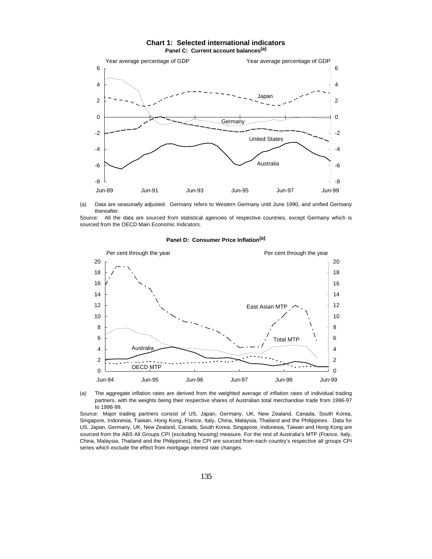





Source: All the data are sourced from statistical agencies of respective countries, except Germany which is sourced from the OECD Main Economic Indicators.



#### **Panel D: Consumer Price Inflation(a)**

(a) The aggregate inflation rates are derived from the weighted average of inflation rates of individual trading partners, with the weights being their respective shares of Australian total merchandise trade from 1996-97 to 1998-99.

Source: Major trading partners consist of US, Japan, Germany, UK, New Zealand, Canada, South Korea, Singapore, Indonesia, Taiwan, Hong Kong, France, Italy, China, Malaysia, Thailand and the Philippines. Data for US, Japan, Germany, UK, New Zealand, Canada, South Korea, Singapore, Indonesia, Taiwan and Hong Kong are sourced from the ABS All Groups CPI (excluding housing) measure. For the rest of Australia's MTP (France, Italy, China, Malaysia, Thailand and the Philippines), the CPI are sourced from each country's respective all groups CPI series which exclude the effect from mortgage interest rate changes.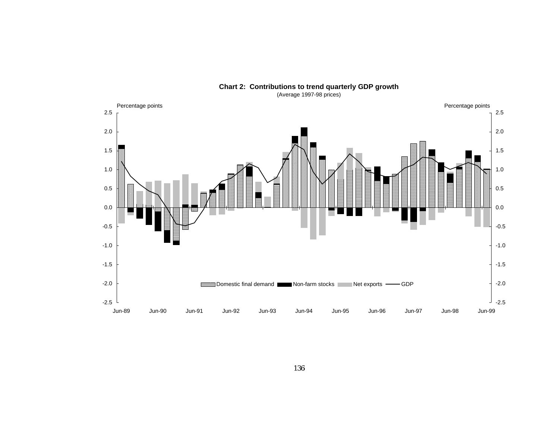

**Chart 2: Contributions to trend quarterly GDP growth**

(Average 1997-98 prices)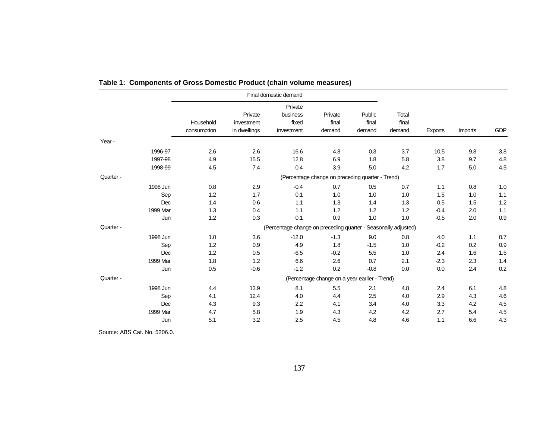|           |          |             |              | Final domestic demand                                          |                                                  |        |        |                |         |            |
|-----------|----------|-------------|--------------|----------------------------------------------------------------|--------------------------------------------------|--------|--------|----------------|---------|------------|
|           |          |             |              | Private                                                        |                                                  |        |        |                |         |            |
|           |          |             | Private      | business                                                       | Private                                          | Public | Total  |                |         |            |
|           |          | Household   | investment   | fixed                                                          | final                                            | final  | final  |                |         |            |
|           |          | consumption | in dwellings | investment                                                     | demand                                           | demand | demand | <b>Exports</b> | Imports | <b>GDP</b> |
| Year -    |          |             |              |                                                                |                                                  |        |        |                |         |            |
|           | 1996-97  | 2.6         | 2.6          | 16.6                                                           | 4.8                                              | 0.3    | 3.7    | 10.5           | 9.8     | 3.8        |
|           | 1997-98  | 4.9         | 15.5         | 12.8                                                           | 6.9                                              | 1.8    | 5.8    | 3.8            | 9.7     | 4.8        |
|           | 1998-99  | 4.5         | 7.4          | 0.4                                                            | 3.9                                              | 5.0    | 4.2    | 1.7            | 5.0     | 4.5        |
| Quarter - |          |             |              |                                                                | (Percentage change on preceding quarter - Trend) |        |        |                |         |            |
|           | 1998 Jun | 0.8         | 2.9          | $-0.4$                                                         | 0.7                                              | 0.5    | 0.7    | 1.1            | 0.8     | 1.0        |
|           | Sep      | 1.2         | 1.7          | 0.1                                                            | 1.0                                              | 1.0    | 1.0    | 1.5            | 1.0     | 1.1        |
|           | Dec      | 1.4         | 0.6          | 1.1                                                            | 1.3                                              | 1.4    | 1.3    | 0.5            | 1.5     | 1.2        |
|           | 1999 Mar | 1.3         | 0.4          | 1.1                                                            | 1.2                                              | 1.2    | 1.2    | $-0.4$         | 2.0     | $1.1$      |
|           | Jun      | 1.2         | 0.3          | 0.1                                                            | 0.9                                              | 1.0    | 1.0    | $-0.5$         | 2.0     | 0.9        |
| Quarter - |          |             |              | (Percentage change on preceding quarter - Seasonally adjusted) |                                                  |        |        |                |         |            |
|           | 1998 Jun | 1.0         | 3.6          | $-12.0$                                                        | $-1.3$                                           | 9.0    | 0.8    | 4.0            | 1.1     | 0.7        |
|           | Sep      | 1.2         | 0.9          | 4.9                                                            | 1.8                                              | $-1.5$ | 1.0    | $-0.2$         | 0.2     | 0.9        |
|           | Dec      | 1.2         | 0.5          | $-6.5$                                                         | $-0.2$                                           | 5.5    | 1.0    | 2.4            | 1.6     | 1.5        |
|           | 1999 Mar | 1.8         | 1.2          | 6.6                                                            | 2.6                                              | 0.7    | 2.1    | $-2.3$         | 2.3     | 1.4        |
|           | Jun      | 0.5         | $-0.6$       | $-1.2$                                                         | 0.2                                              | $-0.8$ | 0.0    | 0.0            | 2.4     | 0.2        |
| Quarter - |          |             |              |                                                                | (Percentage change on a year earlier - Trend)    |        |        |                |         |            |
|           | 1998 Jun | 4.4         | 13.9         | 8.1                                                            | 5.5                                              | 2.1    | 4.8    | 2.4            | 6.1     | 4.8        |
|           | Sep      | 4.1         | 12.4         | 4.0                                                            | 4.4                                              | 2.5    | 4.0    | 2.9            | 4.3     | 4.6        |
|           | Dec      | 4.3         | 9.3          | 2.2                                                            | 4.1                                              | 3.4    | 4.0    | 3.3            | 4.2     | 4.5        |
|           | 1999 Mar | 4.7         | 5.8          | 1.9                                                            | 4.3                                              | 4.2    | 4.2    | 2.7            | 5.4     | 4.5        |
|           | Jun      | 5.1         | 3.2          | 2.5                                                            | 4.5                                              | 4.8    | 4.6    | 1.1            | 6.6     | 4.3        |

## **Table 1: Components of Gross Domestic Product (chain volume measures)**

Source: ABS Cat. No. 5206.0.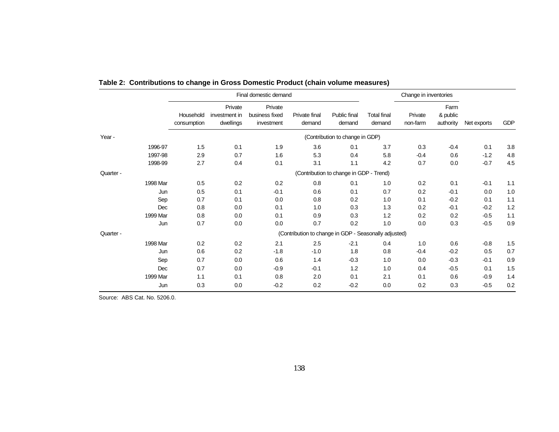|           |                          | Final domestic demand                 | Change in inventories                   |                                                       |                                         |                              |                     |                               |             |     |
|-----------|--------------------------|---------------------------------------|-----------------------------------------|-------------------------------------------------------|-----------------------------------------|------------------------------|---------------------|-------------------------------|-------------|-----|
|           | Household<br>consumption | Private<br>investment in<br>dwellings | Private<br>business fixed<br>investment | Private final<br>demand                               | Public final<br>demand                  | <b>Total final</b><br>demand | Private<br>non-farm | Farm<br>& public<br>authority | Net exports | GDP |
| Year -    |                          |                                       |                                         |                                                       | (Contribution to change in GDP)         |                              |                     |                               |             |     |
| 1996-97   | 1.5                      | 0.1                                   | 1.9                                     | 3.6                                                   | 0.1                                     | 3.7                          | 0.3                 | $-0.4$                        | 0.1         | 3.8 |
| 1997-98   | 2.9                      | 0.7                                   | 1.6                                     | 5.3                                                   | 0.4                                     | 5.8                          | $-0.4$              | 0.6                           | $-1.2$      | 4.8 |
| 1998-99   | 2.7                      | 0.4                                   | 0.1                                     | 3.1                                                   | 1.1                                     | 4.2                          | 0.7                 | 0.0                           | $-0.7$      | 4.5 |
| Quarter - |                          |                                       |                                         |                                                       | (Contribution to change in GDP - Trend) |                              |                     |                               |             |     |
| 1998 Mar  | 0.5                      | 0.2                                   | 0.2                                     | 0.8                                                   | 0.1                                     | 1.0                          | 0.2                 | 0.1                           | $-0.1$      | 1.1 |
| Jun       | 0.5                      | 0.1                                   | $-0.1$                                  | 0.6                                                   | 0.1                                     | 0.7                          | 0.2                 | $-0.1$                        | 0.0         | 1.0 |
| Sep       | 0.7                      | 0.1                                   | 0.0                                     | 0.8                                                   | 0.2                                     | 1.0                          | 0.1                 | $-0.2$                        | 0.1         | 1.1 |
| Dec       | 0.8                      | 0.0                                   | 0.1                                     | 1.0                                                   | 0.3                                     | 1.3                          | 0.2                 | $-0.1$                        | $-0.2$      | 1.2 |
| 1999 Mar  | 0.8                      | 0.0                                   | 0.1                                     | 0.9                                                   | 0.3                                     | 1.2                          | 0.2                 | 0.2                           | $-0.5$      | 1.1 |
| Jun       | 0.7                      | 0.0                                   | 0.0                                     | 0.7                                                   | 0.2                                     | 1.0                          | 0.0                 | 0.3                           | $-0.5$      | 0.9 |
| Quarter - |                          |                                       |                                         | (Contribution to change in GDP - Seasonally adjusted) |                                         |                              |                     |                               |             |     |
| 1998 Mar  | 0.2                      | 0.2                                   | 2.1                                     | 2.5                                                   | $-2.1$                                  | 0.4                          | 1.0                 | 0.6                           | $-0.8$      | 1.5 |
| Jun       | 0.6                      | 0.2                                   | $-1.8$                                  | $-1.0$                                                | 1.8                                     | 0.8                          | $-0.4$              | $-0.2$                        | 0.5         | 0.7 |
| Sep       | 0.7                      | 0.0                                   | 0.6                                     | 1.4                                                   | $-0.3$                                  | 1.0                          | 0.0                 | $-0.3$                        | $-0.1$      | 0.9 |
| Dec       | 0.7                      | 0.0                                   | $-0.9$                                  | $-0.1$                                                | 1.2                                     | 1.0                          | 0.4                 | $-0.5$                        | 0.1         | 1.5 |
| 1999 Mar  | 1.1                      | 0.1                                   | 0.8                                     | 2.0                                                   | 0.1                                     | 2.1                          | 0.1                 | 0.6                           | $-0.9$      | 1.4 |
| Jun       | 0.3                      | 0.0                                   | $-0.2$                                  | 0.2                                                   | $-0.2$                                  | 0.0                          | 0.2                 | 0.3                           | $-0.5$      | 0.2 |

|  |  | Table 2: Contributions to change in Gross Domestic Product (chain volume measures) |  |
|--|--|------------------------------------------------------------------------------------|--|
|--|--|------------------------------------------------------------------------------------|--|

Source: ABS Cat. No. 5206.0.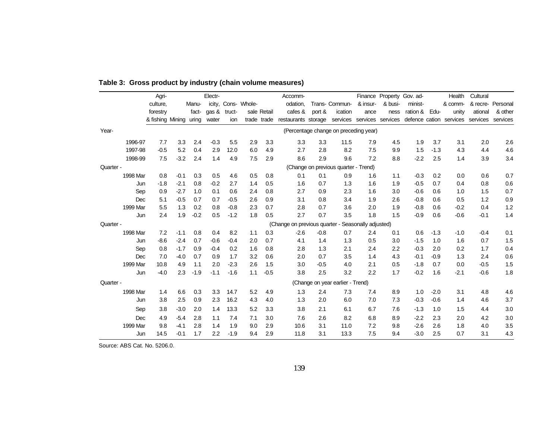|           |          | Agri-                  |        |        | Electr-     |        |                     |             | Accomm-                     |        |                                                                      |                      |         | Finance Property Gov. ad- |        | Health  | Cultural |                   |
|-----------|----------|------------------------|--------|--------|-------------|--------|---------------------|-------------|-----------------------------|--------|----------------------------------------------------------------------|----------------------|---------|---------------------------|--------|---------|----------|-------------------|
|           |          | culture.               |        | Manu-  |             |        | icity, Cons- Whole- |             | odation.                    |        | Trans- Commun-                                                       | & insur-             | & busi- | minist-                   |        | & comm- |          | & recre- Personal |
|           |          | forestry               |        | fact-  | $q$ as $\&$ | truct- |                     | sale Retail | cafes &                     | port & | ication                                                              | ance                 | ness    | ration & Edu-             |        | unity   | ational  | & other           |
|           |          | & fishing Mining uring |        |        | water       | ion    |                     | trade trade | restaurants storage         |        | services services services defence cation services services services |                      |         |                           |        |         |          |                   |
| Year-     |          |                        |        |        |             |        |                     |             |                             |        | (Percentage change on preceding year)                                |                      |         |                           |        |         |          |                   |
|           | 1996-97  | 7.7                    | 3.3    | 2.4    | $-0.3$      | 5.5    | 2.9                 | 3.3         | 3.3                         | 3.3    | 11.5                                                                 | 7.9                  | 4.5     | 1.9                       | 3.7    | 3.1     | 2.0      | 2.6               |
|           | 1997-98  | $-0.5$                 | 5.2    | 0.4    | 2.9         | 12.0   | 6.0                 | 4.9         | 2.7                         | 2.8    | 8.2                                                                  | 7.5                  | 9.9     | 1.5                       | $-1.3$ | 4.3     | 4.4      | 4.6               |
|           | 1998-99  | 7.5                    | $-3.2$ | 2.4    | 1.4         | 4.9    | 7.5                 | 2.9         | 8.6                         | 2.9    | 9.6                                                                  | 7.2                  | 8.8     | $-2.2$                    | 2.5    | 1.4     | 3.9      | 3.4               |
| Quarter - |          |                        |        |        |             |        |                     |             |                             |        | (Change on previous quarter - Trend)                                 |                      |         |                           |        |         |          |                   |
|           | 1998 Mar | 0.8                    | $-0.1$ | 0.3    | 0.5         | 4.6    | 0.5                 | 0.8         | 0.1                         | 0.1    | 0.9                                                                  | 1.6                  | 1.1     | $-0.3$                    | 0.2    | 0.0     | 0.6      | 0.7               |
|           | Jun      | $-1.8$                 | $-2.1$ | 0.8    | $-0.2$      | 2.7    | 1.4                 | 0.5         | 1.6                         | 0.7    | 1.3                                                                  | 1.6                  | 1.9     | $-0.5$                    | 0.7    | 0.4     | 0.8      | 0.6               |
|           | Sep      | 0.9                    | $-2.7$ | 1.0    | 0.1         | 0.6    | 2.4                 | 0.8         | 2.7                         | 0.9    | 2.3                                                                  | 1.6                  | 3.0     | $-0.6$                    | 0.6    | 1.0     | 1.5      | 0.7               |
|           | Dec      | 5.1                    | $-0.5$ | 0.7    | 0.7         | $-0.5$ | 2.6                 | 0.9         | 3.1                         | 0.8    | 3.4                                                                  | 1.9                  | 2.6     | $-0.8$                    | 0.6    | 0.5     | 1.2      | 0.9               |
|           | 1999 Mar | 5.5                    | 1.3    | 0.2    | 0.8         | $-0.8$ | 2.3                 | 0.7         | 2.8                         | 0.7    | 3.6                                                                  | 2.0                  | 1.9     | $-0.8$                    | 0.6    | $-0.2$  | 0.4      | 1.2               |
|           | Jun      | 2.4                    | 1.9    | $-0.2$ | 0.5         | $-1.2$ | 1.8                 | 0.5         | 2.7                         | 0.7    | 3.5                                                                  | 1.8                  | 1.5     | $-0.9$                    | 0.6    | $-0.6$  | $-0.1$   | 1.4               |
| Quarter - |          |                        |        |        |             |        |                     |             | (Change on previous quarter |        |                                                                      | Seasonally adjusted) |         |                           |        |         |          |                   |
|           | 1998 Mar | 7.2                    | $-1.1$ | 0.8    | 0.4         | 8.2    | 1.1                 | 0.3         | $-2.6$                      | $-0.8$ | 0.7                                                                  | 2.4                  | 0.1     | 0.6                       | $-1.3$ | $-1.0$  | $-0.4$   | 0.1               |
|           | Jun      | $-8.6$                 | $-2.4$ | 0.7    | $-0.6$      | $-0.4$ | 2.0                 | 0.7         | 4.1                         | 1.4    | 1.3                                                                  | 0.5                  | 3.0     | $-1.5$                    | 1.0    | 1.6     | 0.7      | 1.5               |
|           | Sep      | 0.8                    | $-1.7$ | 0.9    | $-0.4$      | 0.2    | 1.6                 | 0.8         | 2.8                         | 1.3    | 2.1                                                                  | 2.4                  | 2.2     | $-0.3$                    | 2.0    | 0.2     | 1.7      | 0.4               |
|           | Dec      | 7.0                    | $-4.0$ | 0.7    | 0.9         | 1.7    | 3.2                 | 0.6         | 2.0                         | 0.7    | 3.5                                                                  | 1.4                  | 4.3     | $-0.1$                    | $-0.9$ | 1.3     | 2.4      | 0.6               |
|           | 1999 Mar | 10.8                   | 4.9    | 1.1    | 2.0         | $-2.3$ | 2.6                 | 1.5         | 3.0                         | $-0.5$ | 4.0                                                                  | 2.1                  | 0.5     | $-1.8$                    | 0.7    | 0.0     | $-0.5$   | 1.5               |
|           | Jun      | $-4.0$                 | 2.3    | $-1.9$ | $-1.1$      | $-1.6$ | 1.1                 | $-0.5$      | 3.8                         | 2.5    | 3.2                                                                  | 2.2                  | 1.7     | $-0.2$                    | 1.6    | $-2.1$  | $-0.6$   | 1.8               |
| Quarter - |          |                        |        |        |             |        |                     |             |                             |        | (Change on year earlier - Trend)                                     |                      |         |                           |        |         |          |                   |
|           | 1998 Mar | 1.4                    | 6.6    | 0.3    | 3.3         | 14.7   | 5.2                 | 4.9         | 1.3                         | 2.4    | 7.3                                                                  | 7.4                  | 8.9     | 1.0                       | $-2.0$ | 3.1     | 4.8      | 4.6               |
|           | Jun      | 3.8                    | 2.5    | 0.9    | 2.3         | 16.2   | 4.3                 | 4.0         | 1.3                         | 2.0    | 6.0                                                                  | 7.0                  | 7.3     | $-0.3$                    | $-0.6$ | 1.4     | 4.6      | 3.7               |
|           | Sep      | 3.8                    | $-3.0$ | 2.0    | 1.4         | 13.3   | 5.2                 | 3.3         | 3.8                         | 2.1    | 6.1                                                                  | 6.7                  | 7.6     | $-1.3$                    | 1.0    | 1.5     | 4.4      | 3.0               |
|           | Dec      | 4.9                    | $-5.4$ | 2.8    | 1.1         | 7.4    | 7.1                 | 3.0         | 7.6                         | 2.6    | 8.2                                                                  | 6.8                  | 8.9     | $-2.2$                    | 2.3    | 2.0     | 4.2      | 3.0               |
|           | 1999 Mar | 9.8                    | $-4.1$ | 2.8    | 1.4         | 1.9    | 9.0                 | 2.9         | 10.6                        | 3.1    | 11.0                                                                 | 7.2                  | 9.8     | $-2.6$                    | 2.6    | 1.8     | 4.0      | 3.5               |
|           | Jun      | 14.5                   | $-0.1$ | 1.7    | 2.2         | $-1.9$ | 9.4                 | 2.9         | 11.8                        | 3.1    | 13.3                                                                 | 7.5                  | 9.4     | $-3.0$                    | 2.5    | 0.7     | 3.1      | 4.3               |

## **Table 3: Gross product by industry (chain volume measures)**

Source: ABS Cat. No. 5206.0.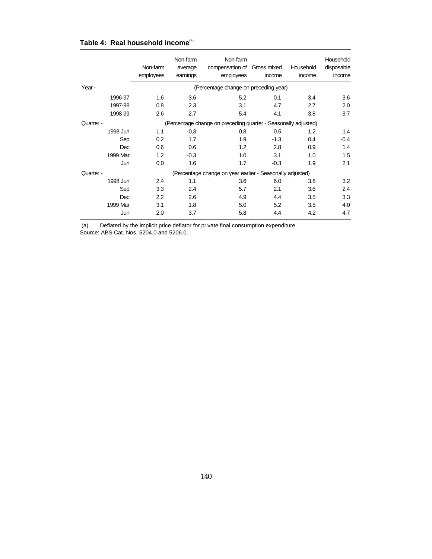|           | Non-farm<br>employees | Non-farm<br>average<br>earnings | Non-farm<br>compensation of<br>employees                       | Gross mixed<br>income | Household<br>income | Household<br>disposable<br>income |
|-----------|-----------------------|---------------------------------|----------------------------------------------------------------|-----------------------|---------------------|-----------------------------------|
| Year -    |                       |                                 | (Percentage change on preceding year)                          |                       |                     |                                   |
| 1996-97   | 1.6                   | 3.6                             | 5.2                                                            | 0.1                   | 3.4                 | 3.6                               |
| 1997-98   | 0.8                   | 2.3                             | 3.1                                                            | 4.7                   | 2.7                 | 2.0                               |
| 1998-99   | 2.6                   | 2.7                             | 5.4                                                            | 4.1                   | 3.8                 | 3.7                               |
| Quarter - |                       |                                 | (Percentage change on preceding quarter - Seasonally adjusted) |                       |                     |                                   |
| 1998 Jun  | 1.1                   | $-0.3$                          | 0.8                                                            | 0.5                   | 1.2                 | 1.4                               |
| Sep       | 0.2                   | 1.7                             | 1.9                                                            | $-1.3$                | 0.4                 | $-0.4$                            |
| Dec       | 0.6                   | 0.6                             | 1.2                                                            | 2.8                   | 0.9                 | 1.4                               |
| 1999 Mar  | 1.2                   | $-0.3$                          | 1.0                                                            | 3.1                   | 1.0                 | 1.5                               |
| Jun       | 0.0                   | 1.6                             | 1.7                                                            | $-0.3$                | 1.9                 | 2.1                               |
| Quarter - |                       |                                 | (Percentage change on year earlier - Seasonally adjusted)      |                       |                     |                                   |
| 1998 Jun  | 2.4                   | 1.1                             | 3.6                                                            | 6.0                   | 3.8                 | 3.2                               |
| Sep       | 3.3                   | 2.4                             | 5.7                                                            | 2.1                   | 3.6                 | 2.4                               |
| Dec       | 2.2                   | 2.6                             | 4.9                                                            | 4.4                   | 3.5                 | 3.3                               |
| 1999 Mar  | 3.1                   | 1.8                             | 5.0                                                            | 5.2                   | 3.5                 | 4.0                               |
| Jun       | 2.0                   | 3.7                             | 5.8                                                            | 4.4                   | 4.2                 | 4.7                               |

### Table 4: Real household income<sup>(a)</sup>

Deflated by the implicit price deflator for private final consumption expenditure. (a) Deflated by the implicit price deflato<br>Source: ABS Cat. Nos. 5204.0 and 5206.0.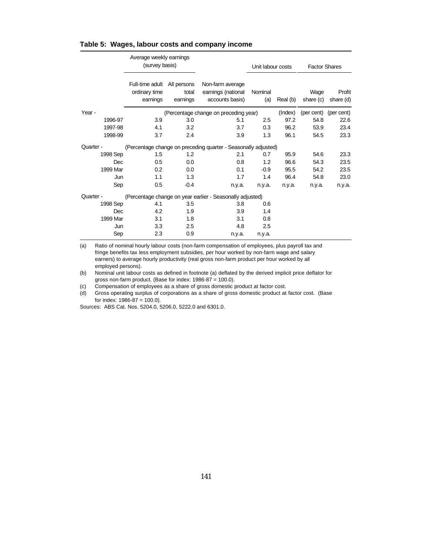#### **Table 5: Wages, labour costs and company income**

|           | Average weekly earnings<br>(survey basis)    |                                  |                                                                | Unit labour costs |          | <b>Factor Shares</b> |                       |  |
|-----------|----------------------------------------------|----------------------------------|----------------------------------------------------------------|-------------------|----------|----------------------|-----------------------|--|
|           | Full-time adult<br>ordinary time<br>earnings | All persons<br>total<br>earnings | Non-farm average<br>earnings (national<br>accounts basis)      | Nominal<br>(a)    | Real (b) | Wage<br>share (c)    | Profit<br>share (d)   |  |
| Year -    |                                              |                                  | (Percentage change on preceding year)                          |                   | (Index)  |                      | (per cent) (per cent) |  |
| 1996-97   | 3.9                                          | 3.0                              | 5.1                                                            | 2.5               | 97.2     | 54.8                 | 22.6                  |  |
| 1997-98   | 4.1                                          | 3.2                              | 3.7                                                            | 0.3               | 96.2     | 53.9                 | 23.4                  |  |
| 1998-99   | 3.7                                          | 2.4                              | 3.9                                                            | 1.3               | 96.1     | 54.5                 | 23.3                  |  |
| Quarter - |                                              |                                  | (Percentage change on preceding quarter - Seasonally adjusted) |                   |          |                      |                       |  |
| 1998 Sep  | 1.5                                          | 1.2                              | 2.1                                                            | 0.7               | 95.9     | 54.6                 | 23.3                  |  |
| Dec       | 0.5                                          | 0.0                              | 0.8                                                            | 1.2               | 96.6     | 54.3                 | 23.5                  |  |
| 1999 Mar  | 0.2                                          | 0.0                              | 0.1                                                            | $-0.9$            | 95.5     | 54.2                 | 23.5                  |  |
| Jun       | 1.1                                          | 1.3                              | 1.7                                                            | 1.4               | 96.4     | 54.8                 | 23.0                  |  |
| Sep       | 0.5                                          | $-0.4$                           | n.y.a.                                                         | n.y.a.            | n.y.a.   | n.y.a.               | n.y.a.                |  |
| Quarter - |                                              |                                  | (Percentage change on year earlier - Seasonally adjusted)      |                   |          |                      |                       |  |
| 1998 Sep  | 4.1                                          | 3.5                              | 3.8                                                            | 0.6               |          |                      |                       |  |
| Dec       | 4.2                                          | 1.9                              | 3.9                                                            | 1.4               |          |                      |                       |  |
| 1999 Mar  | 3.1                                          | 1.8                              | 3.1                                                            | 0.8               |          |                      |                       |  |
| Jun       | 3.3                                          | 2.5                              | 4.8                                                            | 2.5               |          |                      |                       |  |
| Sep       | 2.3                                          | 0.9                              | n.y.a.                                                         | n.y.a.            |          |                      |                       |  |

(a) Ratio of nominal hourly labour costs (non-farm compensation of employees, plus payroll tax and fringe benefits tax less employment subsidies, per hour worked by non-farm wage and salary earners) to average hourly productivity (real gross non-farm product per hour worked by all employed persons).

(b) Nominal unit labour costs as defined in footnote (a) deflated by the derived implicit price deflator for gross non-farm product. (Base for index:  $1986-87 = 100.0$ ).

(c) Compensation of employees as a share of gross domestic product at factor cost.

(d) Gross operating surplus of corporations as a share of gross domestic product at factor cost. (Base for index: 1986-87 = 100.0).

Sources: ABS Cat. Nos. 5204.0, 5206.0, 5222.0 and 6301.0.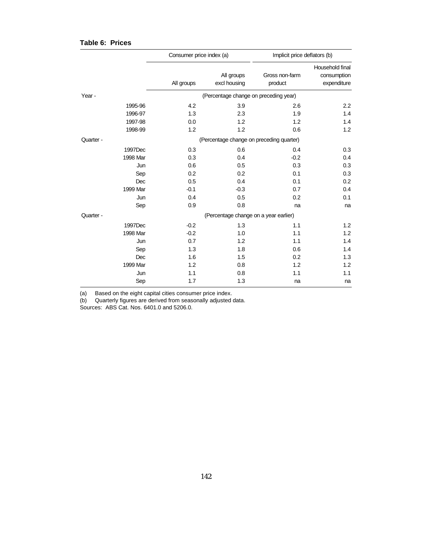## **Table 6: Prices**

|           | Consumer price index (a) |                            | Implicit price deflators (b)             |                                               |
|-----------|--------------------------|----------------------------|------------------------------------------|-----------------------------------------------|
|           | All groups               | All groups<br>excl housing | Gross non-farm<br>product                | Household final<br>consumption<br>expenditure |
| Year -    |                          |                            | (Percentage change on preceding year)    |                                               |
| 1995-96   | 4.2                      | 3.9                        | 2.6                                      | 2.2                                           |
| 1996-97   | 1.3                      | 2.3                        | 1.9                                      | 1.4                                           |
| 1997-98   | 0.0                      | 1.2                        | 1.2                                      | 1.4                                           |
| 1998-99   | 1.2                      | 1.2                        | 0.6                                      | 1.2                                           |
| Quarter - |                          |                            | (Percentage change on preceding quarter) |                                               |
| 1997Dec   | 0.3                      | 0.6                        | 0.4                                      | 0.3                                           |
| 1998 Mar  | 0.3                      | 0.4                        | $-0.2$                                   | 0.4                                           |
| Jun       | 0.6                      | 0.5                        | 0.3                                      | 0.3                                           |
| Sep       | 0.2                      | 0.2                        | 0.1                                      | 0.3                                           |
| Dec       | 0.5                      | 0.4                        | 0.1                                      | 0.2                                           |
| 1999 Mar  | $-0.1$                   | $-0.3$                     | 0.7                                      | 0.4                                           |
| Jun       | 0.4                      | 0.5                        | 0.2                                      | 0.1                                           |
| Sep       | 0.9                      | 0.8                        | na                                       | na                                            |
| Quarter - |                          |                            | (Percentage change on a year earlier)    |                                               |
| 1997Dec   | $-0.2$                   | 1.3                        | 1.1                                      | 1.2                                           |
| 1998 Mar  | $-0.2$                   | 1.0                        | 1.1                                      | 1.2                                           |
| Jun       | 0.7                      | 1.2                        | 1.1                                      | 1.4                                           |
| Sep       | 1.3                      | 1.8                        | 0.6                                      | 1.4                                           |
| Dec       | 1.6                      | 1.5                        | 0.2                                      | 1.3                                           |
| 1999 Mar  | 1.2                      | 0.8                        | 1.2                                      | 1.2                                           |
| Jun       | 1.1                      | 0.8                        | 1.1                                      | 1.1                                           |
| Sep       | 1.7                      | 1.3                        | na                                       | na                                            |

(a) Based on the eight capital cities consumer price index.

(b) Quarterly figures are derived from seasonally adjusted data.

Sources: ABS Cat. Nos. 6401.0 and 5206.0.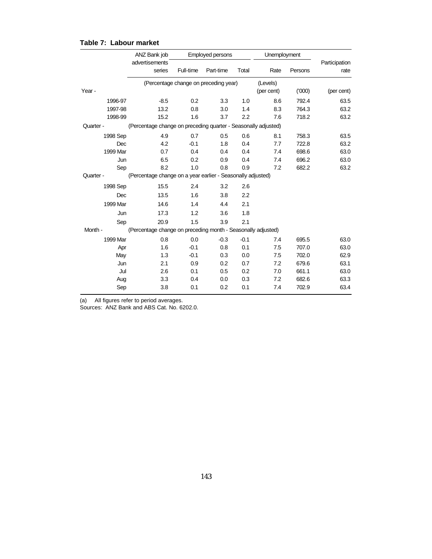|            | ANZ Bank job                                                   | Employed persons |                                       |        | Unemployment |         |               |
|------------|----------------------------------------------------------------|------------------|---------------------------------------|--------|--------------|---------|---------------|
|            | advertisements                                                 |                  |                                       |        |              |         | Participation |
|            | series                                                         | Full-time        | Part-time                             | Total  | Rate         | Persons | rate          |
|            |                                                                |                  | (Percentage change on preceding year) |        | (Levels)     |         |               |
| Year -     |                                                                |                  |                                       |        | (per cent)   | (000)   | (per cent)    |
| 1996-97    | $-8.5$                                                         | 0.2              | 3.3                                   | 1.0    | 8.6          | 792.4   | 63.5          |
| 1997-98    | 13.2                                                           | 0.8              | 3.0                                   | 1.4    | 8.3          | 764.3   | 63.2          |
| 1998-99    | 15.2                                                           | 1.6              | 3.7                                   | 2.2    | 7.6          | 718.2   | 63.2          |
| Quarter -  | (Percentage change on preceding quarter - Seasonally adjusted) |                  |                                       |        |              |         |               |
| 1998 Sep   | 4.9                                                            | 0.7              | 0.5                                   | 0.6    | 8.1          | 758.3   | 63.5          |
| <b>Dec</b> | 4.2                                                            | $-0.1$           | 1.8                                   | 0.4    | 7.7          | 722.8   | 63.2          |
| 1999 Mar   | 0.7                                                            | 0.4              | 0.4                                   | 0.4    | 7.4          | 698.6   | 63.0          |
| Jun        | 6.5                                                            | 0.2              | 0.9                                   | 0.4    | 7.4          | 696.2   | 63.0          |
| Sep        | 8.2                                                            | 1.0              | 0.8                                   | 0.9    | 7.2          | 682.2   | 63.2          |
| Quarter -  | (Percentage change on a year earlier - Seasonally adjusted)    |                  |                                       |        |              |         |               |
| 1998 Sep   | 15.5                                                           | 2.4              | 3.2                                   | 2.6    |              |         |               |
| Dec        | 13.5                                                           | 1.6              | 3.8                                   | 2.2    |              |         |               |
| 1999 Mar   | 14.6                                                           | 1.4              | 4.4                                   | 2.1    |              |         |               |
| Jun        | 17.3                                                           | 1.2              | 3.6                                   | 1.8    |              |         |               |
| Sep        | 20.9                                                           | 1.5              | 3.9                                   | 2.1    |              |         |               |
| Month -    | (Percentage change on preceding month - Seasonally adjusted)   |                  |                                       |        |              |         |               |
| 1999 Mar   | 0.8                                                            | 0.0              | $-0.3$                                | $-0.1$ | 7.4          | 695.5   | 63.0          |
| Apr        | 1.6                                                            | $-0.1$           | 0.8                                   | 0.1    | 7.5          | 707.0   | 63.0          |
| May        | 1.3                                                            | $-0.1$           | 0.3                                   | 0.0    | 7.5          | 702.0   | 62.9          |
| Jun        | 2.1                                                            | 0.9              | 0.2                                   | 0.7    | 7.2          | 679.6   | 63.1          |
| Jul        | 2.6                                                            | 0.1              | 0.5                                   | 0.2    | 7.0          | 661.1   | 63.0          |
| Aug        | 3.3                                                            | 0.4              | 0.0                                   | 0.3    | 7.2          | 682.6   | 63.3          |
| Sep        | 3.8                                                            | 0.1              | 0.2                                   | 0.1    | 7.4          | 702.9   | 63.4          |

## **Table 7: Labour market**

(a) All figures refer to period averages.

Sources: ANZ Bank and ABS Cat. No. 6202.0.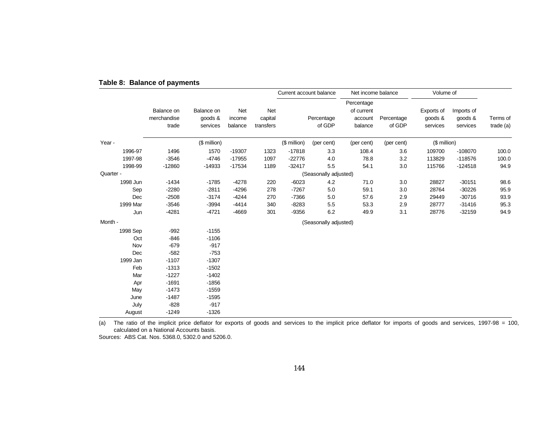|           |                                    |                                   |                          |                             | Current account balance |                       | Net income balance                             |                      | Volume of                         |                                   |                         |
|-----------|------------------------------------|-----------------------------------|--------------------------|-----------------------------|-------------------------|-----------------------|------------------------------------------------|----------------------|-----------------------------------|-----------------------------------|-------------------------|
|           | Balance on<br>merchandise<br>trade | Balance on<br>goods &<br>services | Net<br>income<br>balance | Net<br>capital<br>transfers |                         | Percentage<br>of GDP  | Percentage<br>of current<br>account<br>balance | Percentage<br>of GDP | Exports of<br>goods &<br>services | Imports of<br>goods &<br>services | Terms of<br>trade $(a)$ |
| Year -    |                                    | (\$ million)                      |                          |                             | (\$ million)            | (per cent)            | (per cent)                                     | (per cent)           | (\$ million)                      |                                   |                         |
| 1996-97   | 1496                               | 1570                              | $-19307$                 | 1323                        | $-17818$                | 3.3                   | 108.4                                          | 3.6                  | 109700                            | $-108070$                         | 100.0                   |
| 1997-98   | $-3546$                            | $-4746$                           | $-17955$                 | 1097                        | $-22776$                | 4.0                   | 78.8                                           | 3.2                  | 113829                            | $-118576$                         | 100.0                   |
| 1998-99   | $-12860$                           | $-14933$                          | $-17534$                 | 1189                        | $-32417$                | 5.5                   | 54.1                                           | 3.0                  | 115766                            | $-124518$                         | 94.9                    |
| Quarter - |                                    |                                   |                          |                             |                         | (Seasonally adjusted) |                                                |                      |                                   |                                   |                         |
| 1998 Jun  | $-1434$                            | $-1785$                           | $-4278$                  | 220                         | $-6023$                 | 4.2                   | 71.0                                           | 3.0                  | 28827                             | $-30151$                          | 98.6                    |
| Sep       | $-2280$                            | $-2811$                           | $-4296$                  | 278                         | $-7267$                 | 5.0                   | 59.1                                           | 3.0                  | 28764                             | $-30226$                          | 95.9                    |
| Dec       | $-2508$                            | $-3174$                           | $-4244$                  | 270                         | $-7366$                 | 5.0                   | 57.6                                           | 2.9                  | 29449                             | $-30716$                          | 93.9                    |
| 1999 Mar  | $-3546$                            | $-3994$                           | $-4414$                  | 340                         | $-8283$                 | $5.5\,$               | 53.3                                           | 2.9                  | 28777                             | $-31416$                          | 95.3                    |
| Jun       | $-4281$                            | $-4721$                           | $-4669$                  | 301                         | $-9356$                 | 6.2                   | 49.9                                           | 3.1                  | 28776                             | $-32159$                          | 94.9                    |
| Month -   |                                    |                                   |                          |                             |                         | (Seasonally adjusted) |                                                |                      |                                   |                                   |                         |
| 1998 Sep  | $-992$                             | $-1155$                           |                          |                             |                         |                       |                                                |                      |                                   |                                   |                         |
| Oct       | $-846$                             | $-1106$                           |                          |                             |                         |                       |                                                |                      |                                   |                                   |                         |
| Nov       | $-679$                             | $-917$                            |                          |                             |                         |                       |                                                |                      |                                   |                                   |                         |
| Dec       | $-582$                             | $-753$                            |                          |                             |                         |                       |                                                |                      |                                   |                                   |                         |
| 1999 Jan  | $-1107$                            | $-1307$                           |                          |                             |                         |                       |                                                |                      |                                   |                                   |                         |
| Feb       | $-1313$                            | $-1502$                           |                          |                             |                         |                       |                                                |                      |                                   |                                   |                         |
| Mar       | $-1227$                            | $-1402$                           |                          |                             |                         |                       |                                                |                      |                                   |                                   |                         |
| Apr       | $-1691$                            | $-1856$                           |                          |                             |                         |                       |                                                |                      |                                   |                                   |                         |
| May       | $-1473$                            | $-1559$                           |                          |                             |                         |                       |                                                |                      |                                   |                                   |                         |
| June      | $-1487$                            | $-1595$                           |                          |                             |                         |                       |                                                |                      |                                   |                                   |                         |
| July      | $-828$                             | $-917$                            |                          |                             |                         |                       |                                                |                      |                                   |                                   |                         |
| August    | $-1249$                            | $-1326$                           |                          |                             |                         |                       |                                                |                      |                                   |                                   |                         |

## **Table 8: Balance of payments**

(a) The ratio of the implicit price deflator for exports of goods and services to the implicit price deflator for imports of goods and services, 1997-98 = 100, calculated on a National Accounts basis.

Sources: ABS Cat. Nos. 5368.0, 5302.0 and 5206.0.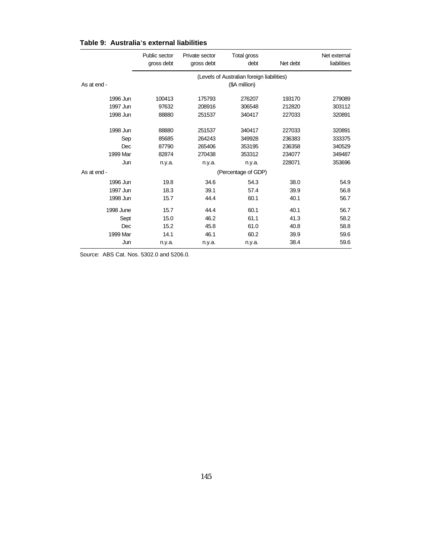|  | Table 9: Australia's external liabilities |  |  |
|--|-------------------------------------------|--|--|
|--|-------------------------------------------|--|--|

|             | Public sector<br>gross debt                | Private sector<br>gross debt | Total gross<br>debt | Net debt | Net external<br>liabilities |  |  |
|-------------|--------------------------------------------|------------------------------|---------------------|----------|-----------------------------|--|--|
|             | (Levels of Australian foreign liabilities) |                              |                     |          |                             |  |  |
| As at end - | (\$A million)                              |                              |                     |          |                             |  |  |
| 1996 Jun    | 100413                                     | 175793                       | 276207              | 193170   | 279089                      |  |  |
| 1997 Jun    | 97632                                      | 208916                       | 306548              | 212820   | 303112                      |  |  |
| 1998 Jun    | 88880                                      | 251537                       | 340417              | 227033   | 320891                      |  |  |
| 1998 Jun    | 88880                                      | 251537                       | 340417              | 227033   | 320891                      |  |  |
| Sep         | 85685                                      | 264243                       | 349928              | 236383   | 333375                      |  |  |
| Dec         | 87790                                      | 265406                       | 353195              | 236358   | 340529                      |  |  |
| 1999 Mar    | 82874                                      | 270438                       | 353312              | 234077   | 349487                      |  |  |
| Jun         | n.y.a.                                     | n.y.a.                       | n.y.a.              | 228071   | 353696                      |  |  |
| As at end - | (Percentage of GDP)                        |                              |                     |          |                             |  |  |
| 1996 Jun    | 19.8                                       | 34.6                         | 54.3                | 38.0     | 54.9                        |  |  |
| 1997 Jun    | 18.3                                       | 39.1                         | 57.4                | 39.9     | 56.8                        |  |  |
| 1998 Jun    | 15.7                                       | 44.4                         | 60.1                | 40.1     | 56.7                        |  |  |
| 1998 June   | 15.7                                       | 44.4                         | 60.1                | 40.1     | 56.7                        |  |  |
| Sept        | 15.0                                       | 46.2                         | 61.1                | 41.3     | 58.2                        |  |  |
| Dec         | 15.2                                       | 45.8                         | 61.0                | 40.8     | 58.8                        |  |  |
| 1999 Mar    | 14.1                                       | 46.1                         | 60.2                | 39.9     | 59.6                        |  |  |
| Jun         | n.y.a.                                     | n.y.a.                       | n.y.a.              | 38.4     | 59.6                        |  |  |

Source: ABS Cat. Nos. 5302.0 and 5206.0.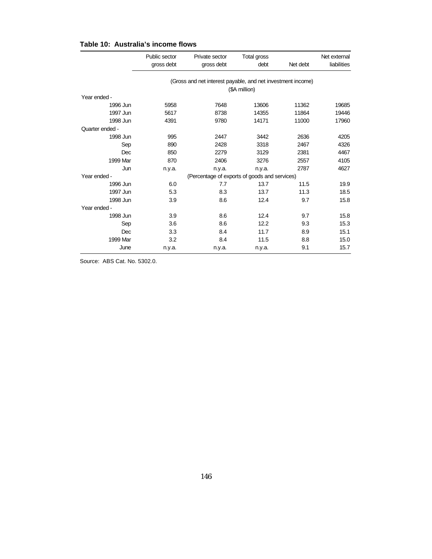|  | Table 10: Australia's income flows |  |  |
|--|------------------------------------|--|--|
|--|------------------------------------|--|--|

|                 | Public sector                                               | Private sector | Total gross   |          | Net external |  |  |
|-----------------|-------------------------------------------------------------|----------------|---------------|----------|--------------|--|--|
|                 | gross debt                                                  | gross debt     | debt          | Net debt | liabilities  |  |  |
|                 |                                                             |                |               |          |              |  |  |
|                 | (Gross and net interest payable, and net investment income) |                |               |          |              |  |  |
|                 |                                                             |                | (\$A million) |          |              |  |  |
| Year ended -    |                                                             |                |               |          |              |  |  |
| 1996 Jun        | 5958                                                        | 7648           | 13606         | 11362    | 19685        |  |  |
| 1997 Jun        | 5617                                                        | 8738           | 14355         | 11864    | 19446        |  |  |
| 1998 Jun        | 4391                                                        | 9780           | 14171         | 11000    | 17960        |  |  |
| Quarter ended - |                                                             |                |               |          |              |  |  |
| 1998 Jun        | 995                                                         | 2447           | 3442          | 2636     | 4205         |  |  |
| Sep             | 890                                                         | 2428           | 3318          | 2467     | 4326         |  |  |
| Dec             | 850                                                         | 2279           | 3129          | 2381     | 4467         |  |  |
| 1999 Mar        | 870                                                         | 2406           | 3276          | 2557     | 4105         |  |  |
| Jun             | n.y.a.                                                      | n.y.a.         | n.y.a.        | 2787     | 4627         |  |  |
| Year ended -    | (Percentage of exports of goods and services)               |                |               |          |              |  |  |
| 1996 Jun        | 6.0                                                         | 7.7            | 13.7          | 11.5     | 19.9         |  |  |
| 1997 Jun        | 5.3                                                         | 8.3            | 13.7          | 11.3     | 18.5         |  |  |
| 1998 Jun        | 3.9                                                         | 8.6            | 12.4          | 9.7      | 15.8         |  |  |
| Year ended -    |                                                             |                |               |          |              |  |  |
| 1998 Jun        | 3.9                                                         | 8.6            | 12.4          | 9.7      | 15.8         |  |  |
| Sep             | 3.6                                                         | 8.6            | 12.2          | 9.3      | 15.3         |  |  |
| Dec             | 3.3                                                         | 8.4            | 11.7          | 8.9      | 15.1         |  |  |
| 1999 Mar        | 3.2                                                         | 8.4            | 11.5          | 8.8      | 15.0         |  |  |
| June            | n.y.a.                                                      | n.y.a.         | n.y.a.        | 9.1      | 15.7         |  |  |

Source: ABS Cat. No. 5302.0.